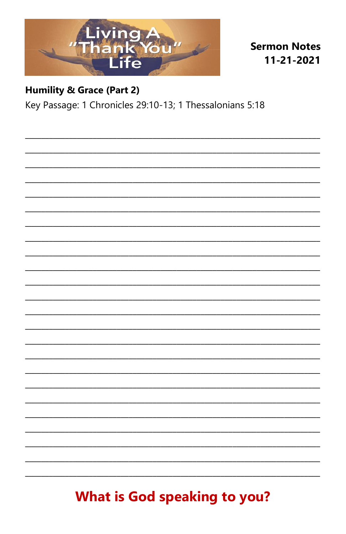

**Sermon Notes** 11-21-2021

#### **Humility & Grace (Part 2)**

Key Passage: 1 Chronicles 29:10-13; 1 Thessalonians 5:18

# **What is God speaking to you?**